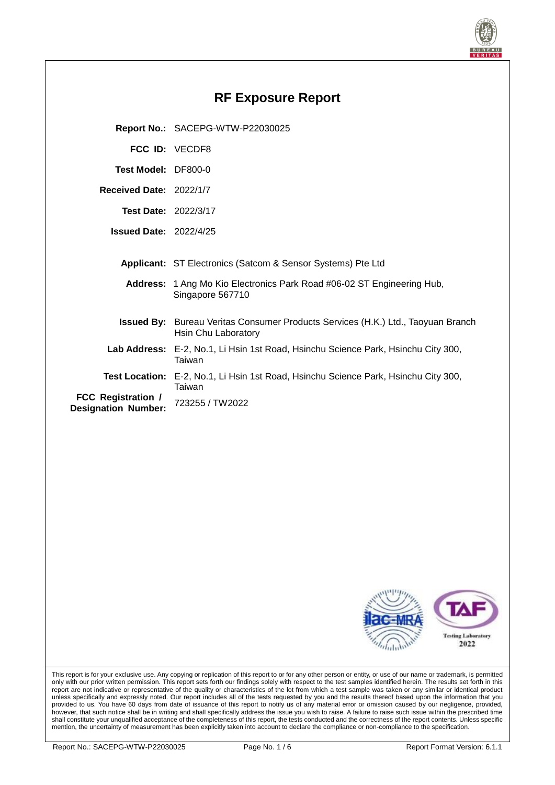

| <b>RF Exposure Report</b>                               |                                                                                                                |  |  |  |  |
|---------------------------------------------------------|----------------------------------------------------------------------------------------------------------------|--|--|--|--|
|                                                         | Report No.: SACEPG-WTW-P22030025                                                                               |  |  |  |  |
|                                                         | FCC ID: VECDF8                                                                                                 |  |  |  |  |
| Test Model: DF800-0                                     |                                                                                                                |  |  |  |  |
| Received Date: 2022/1/7                                 |                                                                                                                |  |  |  |  |
| <b>Test Date: 2022/3/17</b>                             |                                                                                                                |  |  |  |  |
| <b>Issued Date: 2022/4/25</b>                           |                                                                                                                |  |  |  |  |
|                                                         | Applicant: ST Electronics (Satcom & Sensor Systems) Pte Ltd                                                    |  |  |  |  |
|                                                         | Address: 1 Ang Mo Kio Electronics Park Road #06-02 ST Engineering Hub,<br>Singapore 567710                     |  |  |  |  |
|                                                         | <b>Issued By:</b> Bureau Veritas Consumer Products Services (H.K.) Ltd., Taoyuan Branch<br>Hsin Chu Laboratory |  |  |  |  |
|                                                         | Lab Address: E-2, No.1, Li Hsin 1st Road, Hsinchu Science Park, Hsinchu City 300,<br>Taiwan                    |  |  |  |  |
|                                                         | Test Location: E-2, No.1, Li Hsin 1st Road, Hsinchu Science Park, Hsinchu City 300,<br>Taiwan                  |  |  |  |  |
| <b>FCC Registration /</b><br><b>Designation Number:</b> | 723255 / TW2022                                                                                                |  |  |  |  |
|                                                         |                                                                                                                |  |  |  |  |
|                                                         |                                                                                                                |  |  |  |  |
|                                                         |                                                                                                                |  |  |  |  |



This report is for your exclusive use. Any copying or replication of this report to or for any other person or entity, or use of our name or trademark, is permitted only with our prior written permission. This report sets forth our findings solely with respect to the test samples identified herein. The results set forth in this report are not indicative or representative of the quality or characteristics of the lot from which a test sample was taken or any similar or identical product unless specifically and expressly noted. Our report includes all of the tests requested by you and the results thereof based upon the information that you provided to us. You have 60 days from date of issuance of this report to notify us of any material error or omission caused by our negligence, provided, however, that such notice shall be in writing and shall specifically address the issue you wish to raise. A failure to raise such issue within the prescribed time shall constitute your unqualified acceptance of the completeness of this report, the tests conducted and the correctness of the report contents. Unless specific mention, the uncertainty of measurement has been explicitly taken into account to declare the compliance or non-compliance to the specification.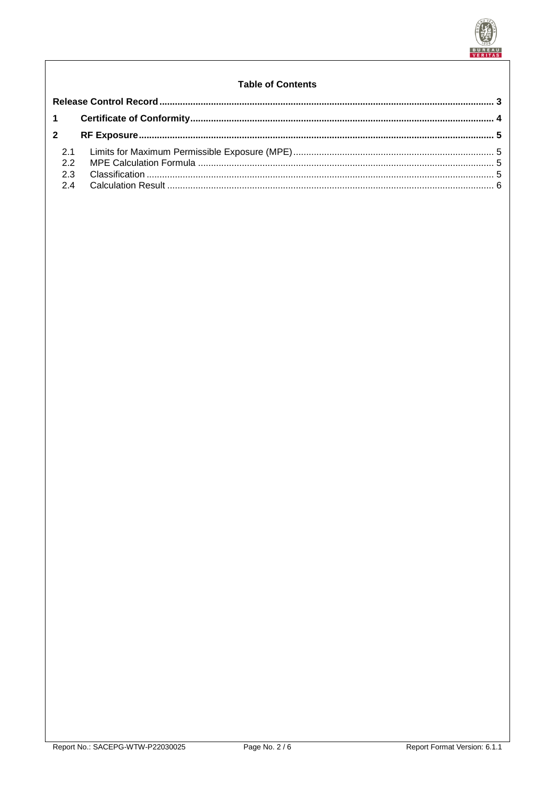

# **Table of Contents**

| $\overline{2}$ |  |  |  |
|----------------|--|--|--|
| 22             |  |  |  |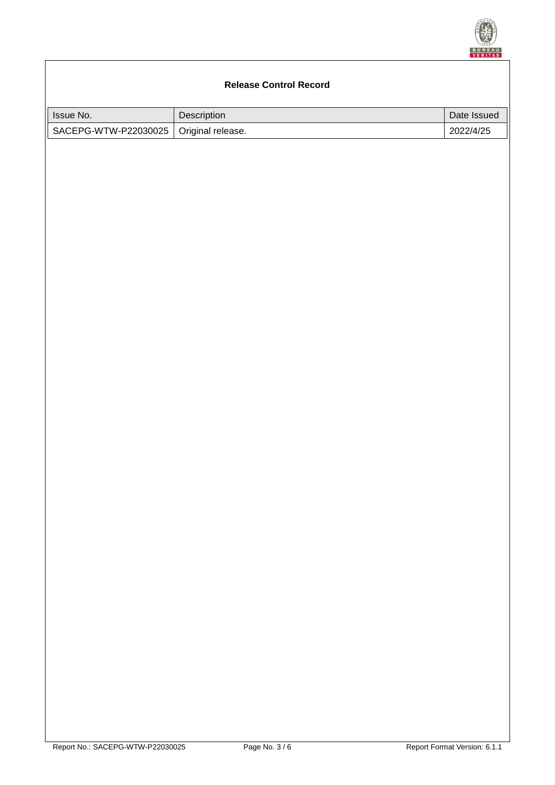

# <span id="page-2-0"></span>**Release Control Record** Issue No. 2008 2012 2013 2014 2022 2023 2024 2022 2023 2024 2022 2023 2024 2022 2023 2024 2022 2023 2024 2022 2023 2024 2022 2023 2024 2022 2023 2024 2022 2023 2024 2022 2023 2024 2023 2024 2023 2024 2023 2024 2023 2024 20 SACEPG-WTW-P22030025 | Original release. 2022/4/25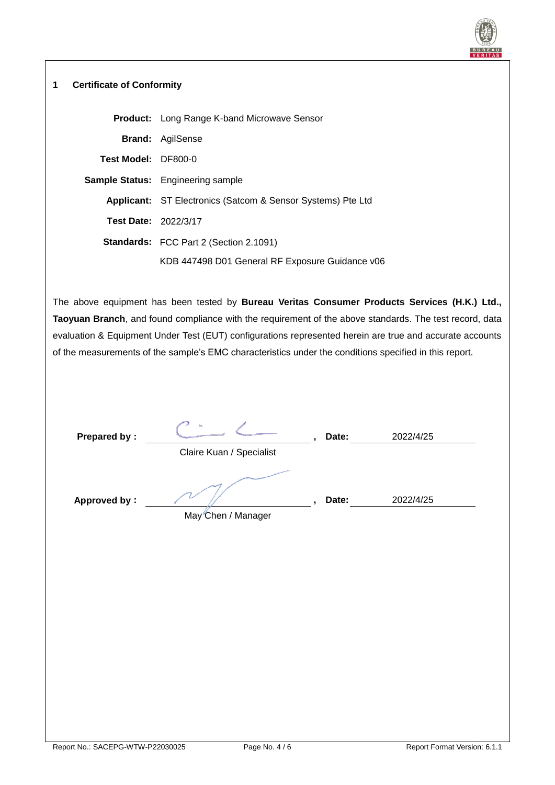

### <span id="page-3-0"></span>**1 Certificate of Conformity**

|                             | <b>Product:</b> Long Range K-band Microwave Sensor                 |  |  |  |
|-----------------------------|--------------------------------------------------------------------|--|--|--|
|                             | <b>Brand:</b> AgilSense                                            |  |  |  |
| Test Model: DF800-0         |                                                                    |  |  |  |
|                             | <b>Sample Status:</b> Engineering sample                           |  |  |  |
|                             | <b>Applicant:</b> ST Electronics (Satcom & Sensor Systems) Pte Ltd |  |  |  |
| <b>Test Date: 2022/3/17</b> |                                                                    |  |  |  |
|                             | <b>Standards:</b> FCC Part 2 (Section 2.1091)                      |  |  |  |
|                             | KDB 447498 D01 General RF Exposure Guidance v06                    |  |  |  |

The above equipment has been tested by **Bureau Veritas Consumer Products Services (H.K.) Ltd., Taoyuan Branch**, and found compliance with the requirement of the above standards. The test record, data evaluation & Equipment Under Test (EUT) configurations represented herein are true and accurate accounts of the measurements of the sample's EMC characteristics under the conditions specified in this report.

| <b>Prepared by:</b> | $\mathbf{r}$             | Date: | 2022/4/25 |  |
|---------------------|--------------------------|-------|-----------|--|
|                     | Claire Kuan / Specialist |       |           |  |
| <b>Approved by:</b> | May Chen / Manager       | Date: | 2022/4/25 |  |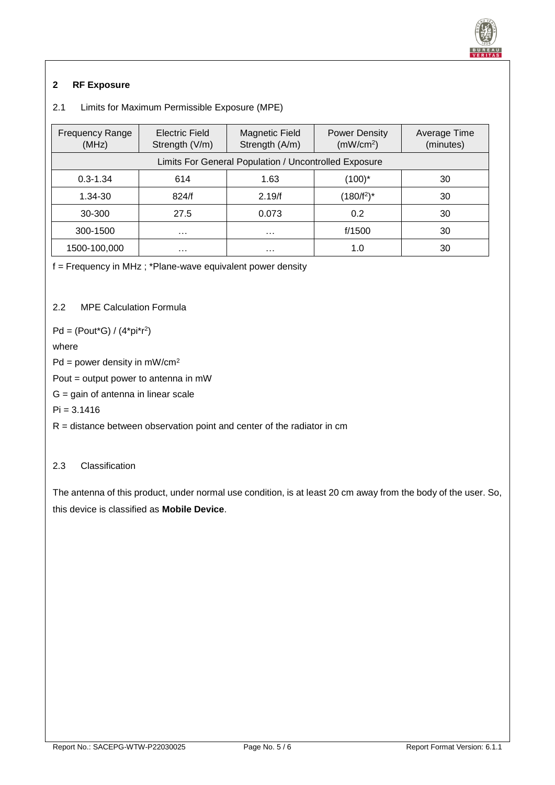

# <span id="page-4-0"></span>**2 RF Exposure**

# <span id="page-4-1"></span>2.1 Limits for Maximum Permissible Exposure (MPE)

| <b>Frequency Range</b><br>(MHz)                       | Electric Field<br>Strength (V/m) | <b>Magnetic Field</b><br><b>Power Density</b><br>Strength (A/m)<br>(mW/cm <sup>2</sup> ) |               | Average Time<br>(minutes) |  |  |
|-------------------------------------------------------|----------------------------------|------------------------------------------------------------------------------------------|---------------|---------------------------|--|--|
| Limits For General Population / Uncontrolled Exposure |                                  |                                                                                          |               |                           |  |  |
| $0.3 - 1.34$                                          | 614                              | 1.63                                                                                     | (100)*        | 30                        |  |  |
| 824/f<br>$1.34 - 30$                                  |                                  | 2.19/f                                                                                   | $(180/f^2)^*$ | 30                        |  |  |
| 30-300                                                | 27.5                             | 0.073                                                                                    | 0.2           | 30                        |  |  |
| 300-1500<br>$\cdots$                                  |                                  | $\cdots$                                                                                 | f/1500        | 30                        |  |  |
| 1500-100,000                                          | $\cdots$                         | .                                                                                        | 1.0           | 30                        |  |  |

f = Frequency in MHz ; \*Plane-wave equivalent power density

<span id="page-4-2"></span>2.2 MPE Calculation Formula

 $Pd = (Pout*G) / (4*pi*r<sup>2</sup>)$ 

### where

 $Pd = power density in mW/cm<sup>2</sup>$ 

Pout = output power to antenna in mW

 $G =$  gain of antenna in linear scale

 $Pi = 3.1416$ 

 $R =$  distance between observation point and center of the radiator in cm

# <span id="page-4-3"></span>2.3 Classification

The antenna of this product, under normal use condition, is at least 20 cm away from the body of the user. So, this device is classified as **Mobile Device**.